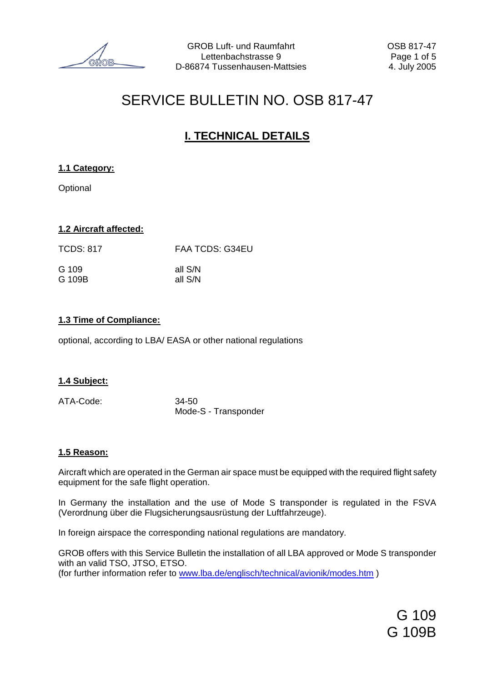# SERVICE BULLETIN NO. OSB 817-47

# **I. TECHNICAL DETAILS**

### **1.1 Category:**

**Optional** 

### **1.2 Aircraft affected:**

| <b>TCDS: 817</b> | <b>FAA TCDS: G34EU</b> |  |  |
|------------------|------------------------|--|--|
| G 109            | all S/N                |  |  |
| G 109B           | all S/N                |  |  |

### **1.3 Time of Compliance:**

optional, according to LBA/ EASA or other national regulations

### **1.4 Subject:**

ATA-Code: 34-50

Mode-S - Transponder

### **1.5 Reason:**

Aircraft which are operated in the German air space must be equipped with the required flight safety equipment for the safe flight operation.

In Germany the installation and the use of Mode S transponder is regulated in the FSVA (Verordnung über die Flugsicherungsausrüstung der Luftfahrzeuge).

In foreign airspace the corresponding national regulations are mandatory.

GROB offers with this Service Bulletin the installation of all LBA approved or Mode S transponder with an valid TSO, JTSO, ETSO. (for further information refer to [www.lba.de/englisch/technical/avionik/modes.htm](http://www.lba.de/englisch/technical/avionik/modes.htm) )

> G 109 G 109B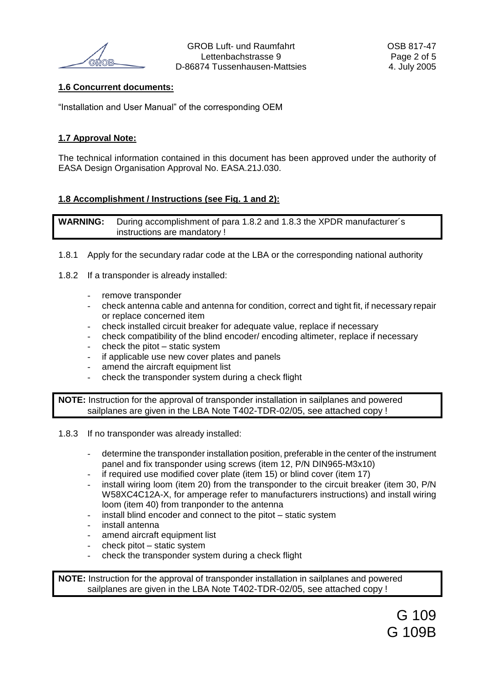### **1.6 Concurrent documents:**

"Installation and User Manual" of the corresponding OEM

### **1.7 Approval Note:**

The technical information contained in this document has been approved under the authority of EASA Design Organisation Approval No. EASA.21J.030.

### **1.8 Accomplishment / Instructions (see Fig. 1 and 2):**

**WARNING:** During accomplishment of para 1.8.2 and 1.8.3 the XPDR manufacturer´s instructions are mandatory !

- 1.8.1 Apply for the secundary radar code at the LBA or the corresponding national authority
- 1.8.2 If a transponder is already installed:
	- remove transponder
	- check antenna cable and antenna for condition, correct and tight fit, if necessary repair or replace concerned item
	- check installed circuit breaker for adequate value, replace if necessary
	- check compatibility of the blind encoder/ encoding altimeter, replace if necessary
	- check the pitot  $-$  static system
	- if applicable use new cover plates and panels
	- amend the aircraft equipment list
	- check the transponder system during a check flight

**NOTE:** Instruction for the approval of transponder installation in sailplanes and powered sailplanes are given in the LBA Note T402-TDR-02/05, see attached copy !

- 1.8.3 If no transponder was already installed:
	- determine the transponder installation position, preferable in the center of the instrument panel and fix transponder using screws (item 12, P/N DIN965-M3x10)
	- if required use modified cover plate (item 15) or blind cover (item 17)
	- install wiring loom (item 20) from the transponder to the circuit breaker (item 30, P/N W58XC4C12A-X, for amperage refer to manufacturers instructions) and install wiring loom (item 40) from tranponder to the antenna
	- install blind encoder and connect to the pitot static system
	- install antenna
	- amend aircraft equipment list
	- $check$  pitot static system
	- check the transponder system during a check flight

**NOTE:** Instruction for the approval of transponder installation in sailplanes and powered sailplanes are given in the LBA Note T402-TDR-02/05, see attached copy !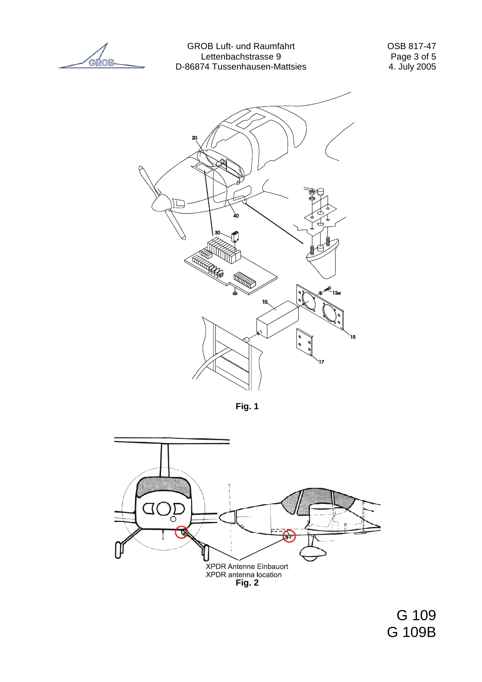GROB

GROB Luft- und Raumfahrt OSB 817-47 Lettenbachstrasse 9 Page 3 of 5 D-86874 Tussenhausen-Mattsies



**Fig. 1**



G 109 G 109B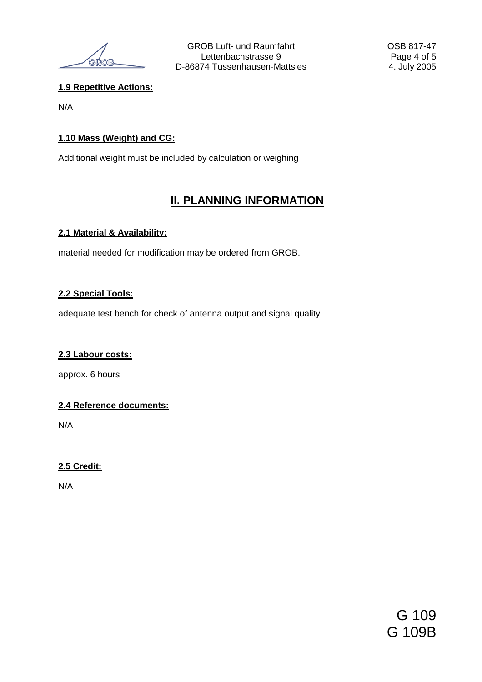**GDOR** 

### **1.9 Repetitive Actions:**

N/A

### **1.10 Mass (Weight) and CG:**

Additional weight must be included by calculation or weighing

# **II. PLANNING INFORMATION**

### **2.1 Material & Availability:**

material needed for modification may be ordered from GROB.

### **2.2 Special Tools:**

adequate test bench for check of antenna output and signal quality

### **2.3 Labour costs:**

approx. 6 hours

### **2.4 Reference documents:**

N/A

### **2.5 Credit:**

N/A

G 109 G 109B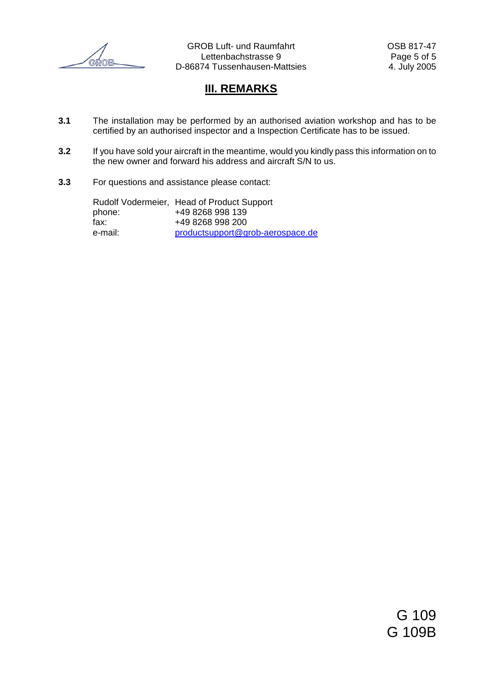

GROB Luft- und Raumfahrt CSB 817-47 Lettenbachstrasse 9 Page 5 of 5 D-86874 Tussenhausen-Mattsies 4. July 2005

# **III. REMARKS**

- **3.1** The installation may be performed by an authorised aviation workshop and has to be certified by an authorised inspector and a Inspection Certificate has to be issued.
- **3.2** If you have sold your aircraft in the meantime, would you kindly pass this information on to the new owner and forward his address and aircraft S/N to us.
- **3.3** For questions and assistance please contact:

Rudolf Vodermeier, Head of Product Support phone: +49 8268 998 139<br>fax: +49 8268 998 200 fax: +49 8268 998 200 e-mail: [productsupport@grob-aerospace.de](mailto:productsupport@grob-aerospace.de)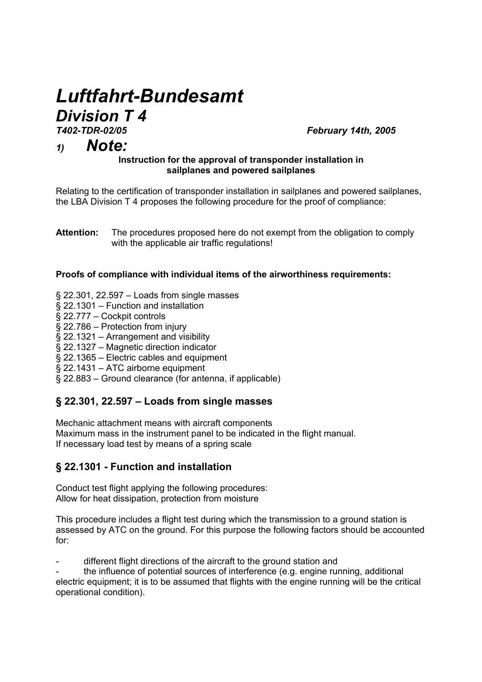# *Luftfahrt-Bundesamt Division T 4*<br><sup>T402-TDR-02/05</sup>

*T402-TDR-02/05 February 14th, 2005* 

# *1) Note:*

### **Instruction for the approval of transponder installation in sailplanes and powered sailplanes**

Relating to the certification of transponder installation in sailplanes and powered sailplanes, the LBA Division T 4 proposes the following procedure for the proof of compliance:

**Attention:** The procedures proposed here do not exempt from the obligation to comply with the applicable air traffic regulations!

### **Proofs of compliance with individual items of the airworthiness requirements:**

- § 22.301, 22.597 Loads from single masses
- § 22.1301 Function and installation
- § 22.777 Cockpit controls
- § 22.786 Protection from injury
- § 22.1321 Arrangement and visibility
- § 22.1327 Magnetic direction indicator
- § 22.1365 Electric cables and equipment
- § 22.1431 ATC airborne equipment
- § 22.883 Ground clearance (for antenna, if applicable)

## **§ 22.301, 22.597 – Loads from single masses**

Mechanic attachment means with aircraft components Maximum mass in the instrument panel to be indicated in the flight manual. If necessary load test by means of a spring scale

## **§ 22.1301 - Function and installation**

Conduct test flight applying the following procedures: Allow for heat dissipation, protection from moisture

This procedure includes a flight test during which the transmission to a ground station is assessed by ATC on the ground. For this purpose the following factors should be accounted for:

different flight directions of the aircraft to the ground station and

the influence of potential sources of interference (e.g. engine running, additional electric equipment; it is to be assumed that flights with the engine running will be the critical operational condition).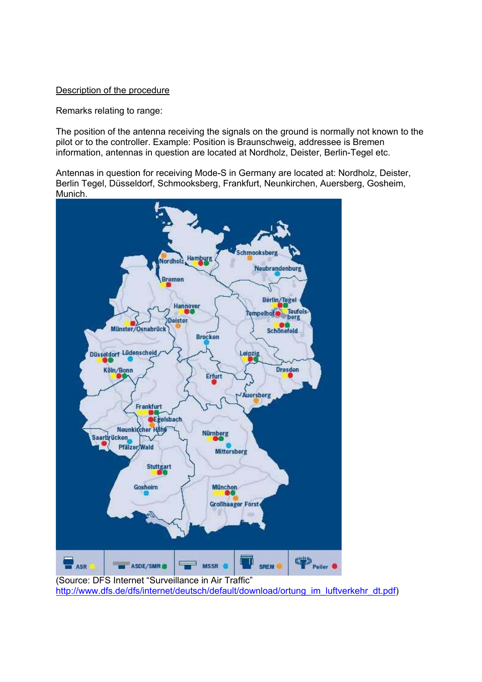### Description of the procedure

Remarks relating to range:

The position of the antenna receiving the signals on the ground is normally not known to the pilot or to the controller. Example: Position is Braunschweig, addressee is Bremen information, antennas in question are located at Nordholz, Deister, Berlin-Tegel etc.

Antennas in question for receiving Mode-S in Germany are located at: Nordholz, Deister, Berlin Tegel, Düsseldorf, Schmooksberg, Frankfurt, Neunkirchen, Auersberg, Gosheim, Munich.



http://www.dfs.de/dfs/internet/deutsch/default/download/ortung\_im\_luftverkehr\_dt.pdf)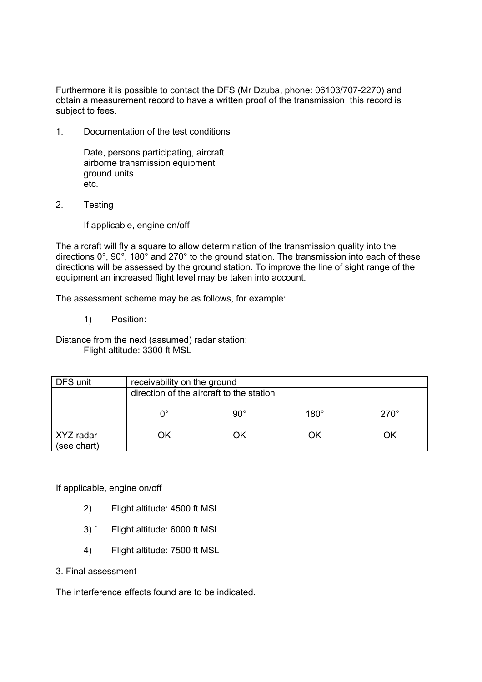Furthermore it is possible to contact the DFS (Mr Dzuba, phone: 06103/707-2270) and obtain a measurement record to have a written proof of the transmission; this record is subject to fees.

1. Documentation of the test conditions

 Date, persons participating, aircraft airborne transmission equipment ground units etc.

2. Testing

If applicable, engine on/off

The aircraft will fly a square to allow determination of the transmission quality into the directions 0°, 90°, 180° and 270° to the ground station. The transmission into each of these directions will be assessed by the ground station. To improve the line of sight range of the equipment an increased flight level may be taken into account.

The assessment scheme may be as follows, for example:

1) Position:

Distance from the next (assumed) radar station: Flight altitude: 3300 ft MSL

| DFS unit                 | receivability on the ground              |              |             |             |  |
|--------------------------|------------------------------------------|--------------|-------------|-------------|--|
|                          | direction of the aircraft to the station |              |             |             |  |
|                          | ∩°                                       | $90^{\circ}$ | $180^\circ$ | $270^\circ$ |  |
| XYZ radar<br>(see chart) | ٦k                                       |              | 7k          |             |  |

If applicable, engine on/off

- 2) Flight altitude: 4500 ft MSL
- 3) ´ Flight altitude: 6000 ft MSL
- 4) Flight altitude: 7500 ft MSL
- 3. Final assessment

The interference effects found are to be indicated.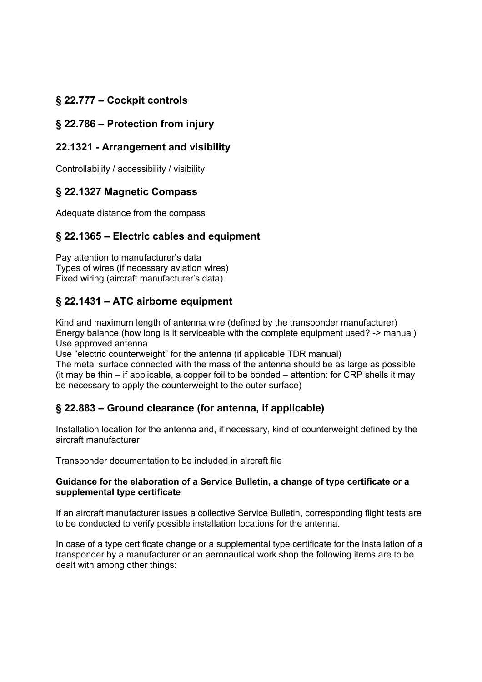# **§ 22.777 – Cockpit controls**

# **§ 22.786 – Protection from injury**

## **22.1321 - Arrangement and visibility**

Controllability / accessibility / visibility

## **§ 22.1327 Magnetic Compass**

Adequate distance from the compass

# **§ 22.1365 – Electric cables and equipment**

Pay attention to manufacturer's data Types of wires (if necessary aviation wires) Fixed wiring (aircraft manufacturer's data)

## **§ 22.1431 – ATC airborne equipment**

Kind and maximum length of antenna wire (defined by the transponder manufacturer) Energy balance (how long is it serviceable with the complete equipment used? -> manual) Use approved antenna

Use "electric counterweight" for the antenna (if applicable TDR manual)

The metal surface connected with the mass of the antenna should be as large as possible (it may be thin – if applicable, a copper foil to be bonded – attention: for CRP shells it may be necessary to apply the counterweight to the outer surface)

# **§ 22.883 – Ground clearance (for antenna, if applicable)**

Installation location for the antenna and, if necessary, kind of counterweight defined by the aircraft manufacturer

Transponder documentation to be included in aircraft file

### **Guidance for the elaboration of a Service Bulletin, a change of type certificate or a supplemental type certificate**

If an aircraft manufacturer issues a collective Service Bulletin, corresponding flight tests are to be conducted to verify possible installation locations for the antenna.

In case of a type certificate change or a supplemental type certificate for the installation of a transponder by a manufacturer or an aeronautical work shop the following items are to be dealt with among other things: